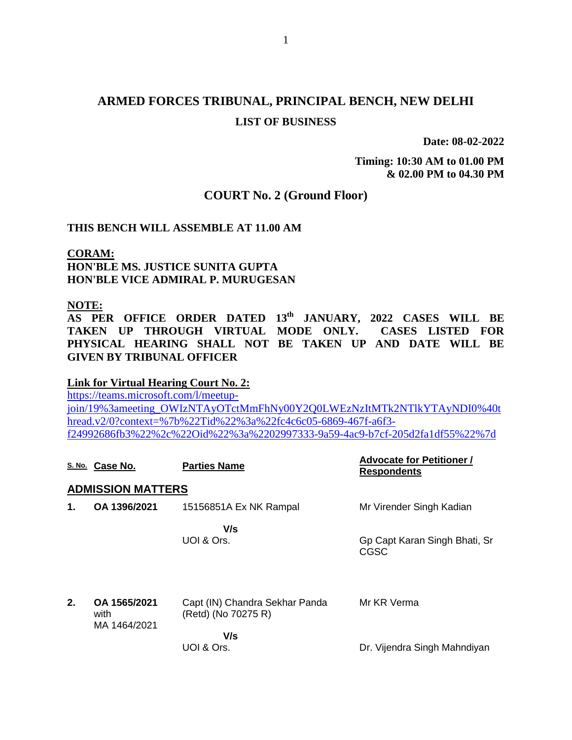# **ARMED FORCES TRIBUNAL, PRINCIPAL BENCH, NEW DELHI LIST OF BUSINESS**

**Date: 08-02-2022**

**Timing: 10:30 AM to 01.00 PM & 02.00 PM to 04.30 PM**

### **COURT No. 2 (Ground Floor)**

### **THIS BENCH WILL ASSEMBLE AT 11.00 AM**

**CORAM: HON'BLE MS. JUSTICE SUNITA GUPTA HON'BLE VICE ADMIRAL P. MURUGESAN**

### **NOTE:**

**AS PER OFFICE ORDER DATED 13th JANUARY, 2022 CASES WILL BE TAKEN UP THROUGH VIRTUAL MODE ONLY. CASES LISTED FOR PHYSICAL HEARING SHALL NOT BE TAKEN UP AND DATE WILL BE GIVEN BY TRIBUNAL OFFICER**

### **Link for Virtual Hearing Court No. 2:**

[https://teams.microsoft.com/l/meetup](https://teams.microsoft.com/l/meetup-join/19%3ameeting_OWIzNTAyOTctMmFhNy00Y2Q0LWEzNzItMTk2NTlkYTAyNDI0%40thread.v2/0?context=%7b%22Tid%22%3a%22fc4c6c05-6869-467f-a6f3-f24992686fb3%22%2c%22Oid%22%3a%2202997333-9a59-4ac9-b7cf-205d2fa1df55%22%7d)[join/19%3ameeting\\_OWIzNTAyOTctMmFhNy00Y2Q0LWEzNzItMTk2NTlkYTAyNDI0%40t](https://teams.microsoft.com/l/meetup-join/19%3ameeting_OWIzNTAyOTctMmFhNy00Y2Q0LWEzNzItMTk2NTlkYTAyNDI0%40thread.v2/0?context=%7b%22Tid%22%3a%22fc4c6c05-6869-467f-a6f3-f24992686fb3%22%2c%22Oid%22%3a%2202997333-9a59-4ac9-b7cf-205d2fa1df55%22%7d) [hread.v2/0?context=%7b%22Tid%22%3a%22fc4c6c05-6869-467f-a6f3](https://teams.microsoft.com/l/meetup-join/19%3ameeting_OWIzNTAyOTctMmFhNy00Y2Q0LWEzNzItMTk2NTlkYTAyNDI0%40thread.v2/0?context=%7b%22Tid%22%3a%22fc4c6c05-6869-467f-a6f3-f24992686fb3%22%2c%22Oid%22%3a%2202997333-9a59-4ac9-b7cf-205d2fa1df55%22%7d) [f24992686fb3%22%2c%22Oid%22%3a%2202997333-9a59-4ac9-b7cf-205d2fa1df55%22%7d](https://teams.microsoft.com/l/meetup-join/19%3ameeting_OWIzNTAyOTctMmFhNy00Y2Q0LWEzNzItMTk2NTlkYTAyNDI0%40thread.v2/0?context=%7b%22Tid%22%3a%22fc4c6c05-6869-467f-a6f3-f24992686fb3%22%2c%22Oid%22%3a%2202997333-9a59-4ac9-b7cf-205d2fa1df55%22%7d)

|                          | S. No. Case No.                      | <b>Parties Name</b>                                   | <b>Advocate for Petitioner /</b><br><b>Respondents</b> |  |  |  |
|--------------------------|--------------------------------------|-------------------------------------------------------|--------------------------------------------------------|--|--|--|
| <b>ADMISSION MATTERS</b> |                                      |                                                       |                                                        |  |  |  |
| 1.                       | OA 1396/2021                         | 15156851A Ex NK Rampal                                | Mr Virender Singh Kadian                               |  |  |  |
|                          |                                      | V/s<br>UOI & Ors.                                     | Gp Capt Karan Singh Bhati, Sr<br>CGSC                  |  |  |  |
| 2.                       | OA 1565/2021<br>with<br>MA 1464/2021 | Capt (IN) Chandra Sekhar Panda<br>(Retd) (No 70275 R) | Mr KR Verma                                            |  |  |  |
|                          |                                      | V/s                                                   |                                                        |  |  |  |
|                          |                                      | UOI & Ors.                                            | Dr. Vijendra Singh Mahndiyan                           |  |  |  |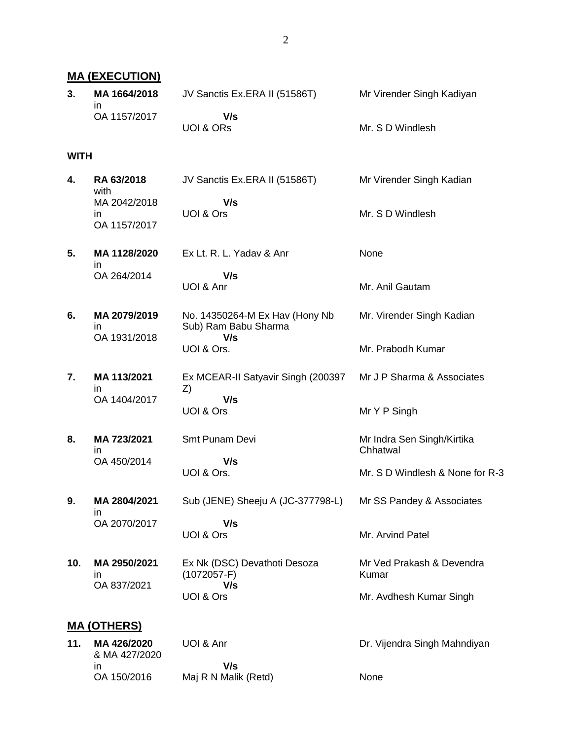**MA (EXECUTION) 3. MA 1664/2018** in OA 1157/2017 JV Sanctis Ex.ERA II (51586T)  **V/s** UOI & ORs Mr Virender Singh Kadiyan Mr. S D Windlesh **WITH 4. RA 63/2018** with MA 2042/2018 in OA 1157/2017 JV Sanctis Ex.ERA II (51586T)  **V/s** UOI & Ors Mr Virender Singh Kadian Mr. S D Windlesh **5. MA 1128/2020** in OA 264/2014 Ex Lt. R. L. Yadav & Anr  **V/s** UOI & Anr None Mr. Anil Gautam **6. MA 2079/2019** in OA 1931/2018 No. 14350264-M Ex Hav (Hony Nb Sub) Ram Babu Sharma  **V/s** UOI & Ors. Mr. Virender Singh Kadian Mr. Prabodh Kumar **7. MA 113/2021** in OA 1404/2017 Ex MCEAR-II Satyavir Singh (200397 Z)  **V/s** UOI & Ors Mr J P Sharma & Associates Mr Y P Singh **8. MA 723/2021** in OA 450/2014 Smt Punam Devi  **V/s** UOI & Ors. Mr Indra Sen Singh/Kirtika **Chhatwal** Mr. S D Windlesh & None for R-3 **9. MA 2804/2021** in OA 2070/2017 Sub (JENE) Sheeju A (JC-377798-L)  **V/s** UOI & Ors Mr SS Pandey & Associates Mr. Arvind Patel **10. MA 2950/2021** in OA 837/2021 Ex Nk (DSC) Devathoti Desoza (1072057-F)  **V/s** UOI & Ors Mr Ved Prakash & Devendra Kumar Mr. Avdhesh Kumar Singh **MA (OTHERS) 11. MA 426/2020** & MA 427/2020 in UOI & Anr  **V/s** Dr. Vijendra Singh Mahndiyan

OA 150/2016

Maj R N Malik (Retd)

None

2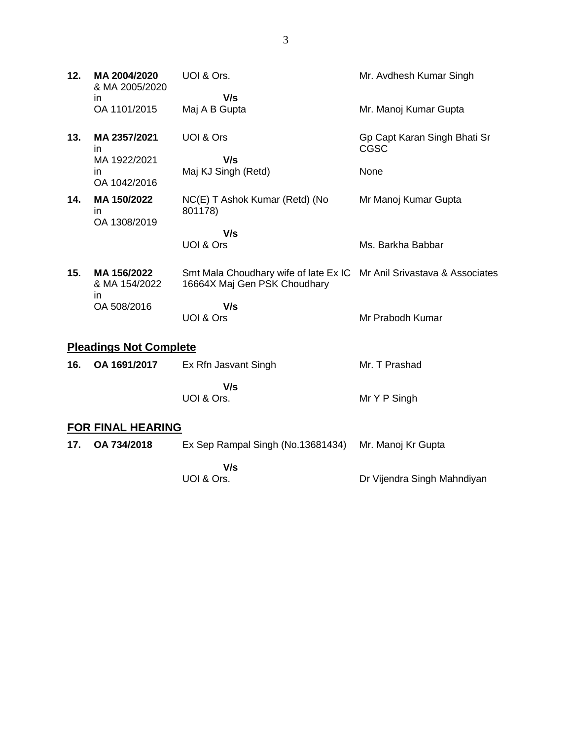| 12.                           | MA 2004/2020<br>& MA 2005/2020                     | UOI & Ors.                                                                                            | Mr. Avdhesh Kumar Singh                             |  |  |
|-------------------------------|----------------------------------------------------|-------------------------------------------------------------------------------------------------------|-----------------------------------------------------|--|--|
|                               | in<br>OA 1101/2015                                 | V/s<br>Maj A B Gupta                                                                                  | Mr. Manoj Kumar Gupta                               |  |  |
| 13.                           | MA 2357/2021<br>$\mathsf{I}$<br>MA 1922/2021<br>in | UOI & Ors<br>V/s<br>Maj KJ Singh (Retd)                                                               | Gp Capt Karan Singh Bhati Sr<br><b>CGSC</b><br>None |  |  |
|                               | OA 1042/2016                                       |                                                                                                       |                                                     |  |  |
| 14.                           | MA 150/2022<br>ın<br>OA 1308/2019                  | NC(E) T Ashok Kumar (Retd) (No<br>801178)                                                             | Mr Manoj Kumar Gupta                                |  |  |
|                               |                                                    | V/s                                                                                                   |                                                     |  |  |
|                               |                                                    | UOI & Ors                                                                                             | Ms. Barkha Babbar                                   |  |  |
| 15.                           | MA 156/2022<br>& MA 154/2022                       | Smt Mala Choudhary wife of late Ex IC Mr Anil Srivastava & Associates<br>16664X Maj Gen PSK Choudhary |                                                     |  |  |
|                               | in<br>OA 508/2016                                  | V/s<br>UOI & Ors                                                                                      | Mr Prabodh Kumar                                    |  |  |
| <b>Pleadings Not Complete</b> |                                                    |                                                                                                       |                                                     |  |  |
| 16.                           | OA 1691/2017                                       | Ex Rfn Jasvant Singh                                                                                  | Mr. T Prashad                                       |  |  |
|                               |                                                    | V/s<br>UOI & Ors.                                                                                     | Mr Y P Singh                                        |  |  |
| <b>FOR FINAL HEARING</b>      |                                                    |                                                                                                       |                                                     |  |  |
| 17.                           | OA 734/2018                                        | Ex Sep Rampal Singh (No.13681434)                                                                     | Mr. Manoj Kr Gupta                                  |  |  |
|                               |                                                    | $\mathbf{U}$                                                                                          |                                                     |  |  |

 **V/s** UOI & Ors.

Dr Vijendra Singh Mahndiyan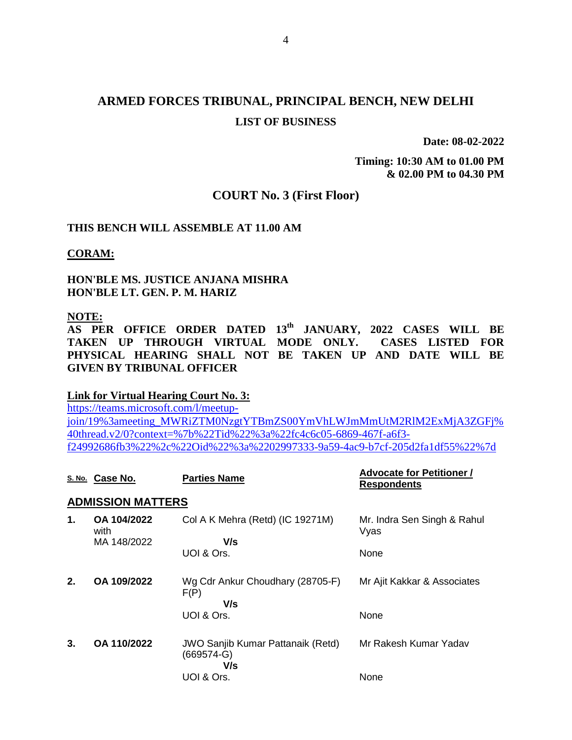# **ARMED FORCES TRIBUNAL, PRINCIPAL BENCH, NEW DELHI LIST OF BUSINESS**

**Date: 08-02-2022**

**Timing: 10:30 AM to 01.00 PM & 02.00 PM to 04.30 PM**

### **COURT No. 3 (First Floor)**

### **THIS BENCH WILL ASSEMBLE AT 11.00 AM**

**CORAM:**

**HON'BLE MS. JUSTICE ANJANA MISHRA HON'BLE LT. GEN. P. M. HARIZ**

**NOTE:** 

**AS PER OFFICE ORDER DATED 13th JANUARY, 2022 CASES WILL BE TAKEN UP THROUGH VIRTUAL MODE ONLY. CASES LISTED FOR PHYSICAL HEARING SHALL NOT BE TAKEN UP AND DATE WILL BE GIVEN BY TRIBUNAL OFFICER**

#### **Link for Virtual Hearing Court No. 3:**

[https://teams.microsoft.com/l/meetup](https://teams.microsoft.com/l/meetup-join/19%3ameeting_MWRiZTM0NzgtYTBmZS00YmVhLWJmMmUtM2RlM2ExMjA3ZGFj%40thread.v2/0?context=%7b%22Tid%22%3a%22fc4c6c05-6869-467f-a6f3-f24992686fb3%22%2c%22Oid%22%3a%2202997333-9a59-4ac9-b7cf-205d2fa1df55%22%7d)[join/19%3ameeting\\_MWRiZTM0NzgtYTBmZS00YmVhLWJmMmUtM2RlM2ExMjA3ZGFj%](https://teams.microsoft.com/l/meetup-join/19%3ameeting_MWRiZTM0NzgtYTBmZS00YmVhLWJmMmUtM2RlM2ExMjA3ZGFj%40thread.v2/0?context=%7b%22Tid%22%3a%22fc4c6c05-6869-467f-a6f3-f24992686fb3%22%2c%22Oid%22%3a%2202997333-9a59-4ac9-b7cf-205d2fa1df55%22%7d) [40thread.v2/0?context=%7b%22Tid%22%3a%22fc4c6c05-6869-467f-a6f3](https://teams.microsoft.com/l/meetup-join/19%3ameeting_MWRiZTM0NzgtYTBmZS00YmVhLWJmMmUtM2RlM2ExMjA3ZGFj%40thread.v2/0?context=%7b%22Tid%22%3a%22fc4c6c05-6869-467f-a6f3-f24992686fb3%22%2c%22Oid%22%3a%2202997333-9a59-4ac9-b7cf-205d2fa1df55%22%7d) [f24992686fb3%22%2c%22Oid%22%3a%2202997333-9a59-4ac9-b7cf-205d2fa1df55%22%7d](https://teams.microsoft.com/l/meetup-join/19%3ameeting_MWRiZTM0NzgtYTBmZS00YmVhLWJmMmUtM2RlM2ExMjA3ZGFj%40thread.v2/0?context=%7b%22Tid%22%3a%22fc4c6c05-6869-467f-a6f3-f24992686fb3%22%2c%22Oid%22%3a%2202997333-9a59-4ac9-b7cf-205d2fa1df55%22%7d)

|                          | S. No. Case No.                    | <b>Parties Name</b>                                                           | <b>Advocate for Petitioner /</b><br><b>Respondents</b> |  |  |  |
|--------------------------|------------------------------------|-------------------------------------------------------------------------------|--------------------------------------------------------|--|--|--|
| <b>ADMISSION MATTERS</b> |                                    |                                                                               |                                                        |  |  |  |
| 1.                       | OA 104/2022<br>with<br>MA 148/2022 | Col A K Mehra (Retd) (IC 19271M)<br>V/s<br>UOI & Ors.                         | Mr. Indra Sen Singh & Rahul<br>Vyas<br>None            |  |  |  |
| 2.                       | OA 109/2022                        | Wg Cdr Ankur Choudhary (28705-F)<br>F(P)<br>V/s<br>UOI & Ors.                 | Mr Ajit Kakkar & Associates<br>None                    |  |  |  |
| 3.                       | OA 110/2022                        | <b>JWO Sanjib Kumar Pattanaik (Retd)</b><br>$(669574-G)$<br>V/s<br>UOI & Ors. | Mr Rakesh Kumar Yadav<br>None                          |  |  |  |